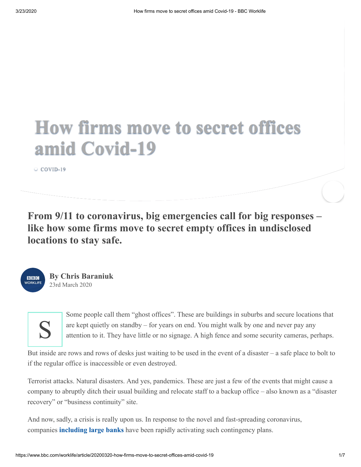# **How firms move to secret offices amid Covid-19**

 $C$  COVID-19

**From 9/11 to coronavirus, big emergencies call for big responses – like how some firms move to secret empty offices in undisclosed locations to stay safe.**



**By Chris Baraniuk** 23rd March 2020

**C** 

Some people call them "ghost offices". These are buildings in suburbs and secure locations that are kept quietly on standby – for years on end. You might walk by one and never pay any attention to it. They have little or no signage. A high fence and some security cameras, perhaps.

But inside are rows and rows of desks just waiting to be used in the event of a disaster – a safe place to bolt to if the regular office is inaccessible or even destroyed.

Terrorist attacks. Natural disasters. And yes, pandemics. These are just a few of the events that might cause a company to abruptly ditch their usual building and relocate staff to a backup office – also known as a "disaster recovery" or "business continuity" site.

And now, sadly, a crisis is really upon us. In response to the novel and fast-spreading coronavirus, companies **[including large banks](https://www.fintechfutures.com/2020/03/banks-test-disaster-recovery-sites-and-send-staff-home-amid-coronavirus/)** have been rapidly activating such contingency plans.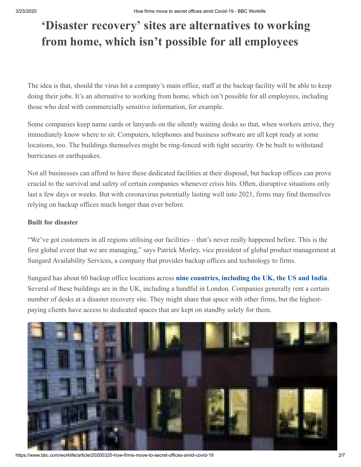# **'Disaster recovery' sites are alternatives to working from home, which isn't possible for all employees**

The idea is that, should the virus hit a company's main office, staff at the backup facility will be able to keep doing their jobs. It's an alternative to working from home, which isn't possible for all employees, including those who deal with commercially sensitive information, for example.

Some companies keep name cards or lanyards on the silently waiting desks so that, when workers arrive, they immediately know where to sit. Computers, telephones and business software are all kept ready at some locations, too. The buildings themselves might be ring-fenced with tight security. Or be built to withstand hurricanes or earthquakes.

Not all businesses can afford to have these dedicated facilities at their disposal, but backup offices can prove crucial to the survival and safety of certain companies whenever crisis hits. Often, disruptive situations only last a few days or weeks. But with coronavirus potentially lasting well into 2021, firms may find themselves relying on backup offices much longer than ever before.

### **Built for disaster**

"We've got customers in all regions utilising our facilities – that's never really happened before. This is the first global event that we are managing," says Patrick Morley, vice president of global product management at Sungard Availability Services, a company that provides backup offices and technology to firms.

Sungard has about 60 backup office locations across **[nine countries, including the UK, the US and India](https://www.sungardas.com/en-GB/facilities/)**. Several of these buildings are in the UK, including a handful in London. Companies generally rent a certain number of desks at a disaster recovery site. They might share that space with other firms, but the highestpaying clients have access to dedicated spaces that are kept on standby solely for them.



https://www.bbc.com/worklife/article/20200320-how-firms-move-to-secret-offices-amid-covid-19 2/7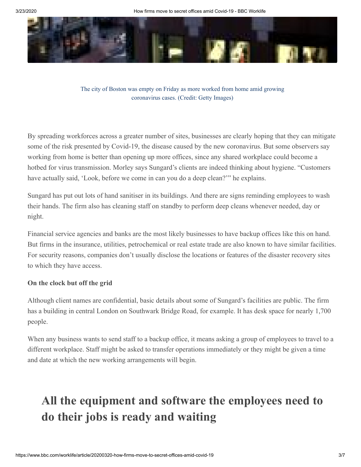

The city of Boston was empty on Friday as more worked from home amid growing coronavirus cases. (Credit: Getty Images)

By spreading workforces across a greater number of sites, businesses are clearly hoping that they can mitigate some of the risk presented by Covid-19, the disease caused by the new coronavirus. But some observers say working from home is better than opening up more offices, since any shared workplace could become a hotbed for virus transmission. Morley says Sungard's clients are indeed thinking about hygiene. "Customers have actually said, 'Look, before we come in can you do a deep clean?'" he explains.

Sungard has put out lots of hand sanitiser in its buildings. And there are signs reminding employees to wash their hands. The firm also has cleaning staff on standby to perform deep cleans whenever needed, day or night.

Financial service agencies and banks are the most likely businesses to have backup offices like this on hand. But firms in the insurance, utilities, petrochemical or real estate trade are also known to have similar facilities. For security reasons, companies don't usually disclose the locations or features of the disaster recovery sites to which they have access.

### **On the clock but off the grid**

Although client names are confidential, basic details about some of Sungard's facilities are public. The firm has a building in central London on Southwark Bridge Road, for example. It has desk space for nearly 1,700 people.

When any business wants to send staff to a backup office, it means asking a group of employees to travel to a different workplace. Staff might be asked to transfer operations immediately or they might be given a time and date at which the new working arrangements will begin.

# **All the equipment and software the employees need to do their jobs is ready and waiting**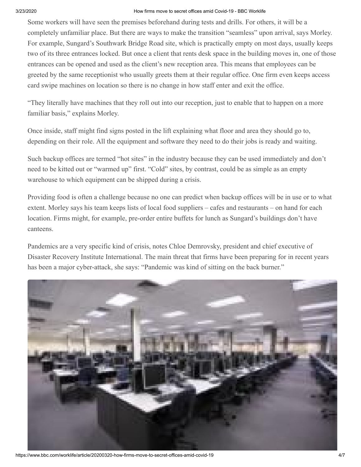#### 3/23/2020 How firms move to secret offices amid Covid-19 - BBC Worklife

Some workers will have seen the premises beforehand during tests and drills. For others, it will be a completely unfamiliar place. But there are ways to make the transition "seamless" upon arrival, says Morley. For example, Sungard's Southwark Bridge Road site, which is practically empty on most days, usually keeps two of its three entrances locked. But once a client that rents desk space in the building moves in, one of those entrances can be opened and used as the client's new reception area. This means that employees can be greeted by the same receptionist who usually greets them at their regular office. One firm even keeps access card swipe machines on location so there is no change in how staff enter and exit the office.

"They literally have machines that they roll out into our reception, just to enable that to happen on a more familiar basis," explains Morley.

Once inside, staff might find signs posted in the lift explaining what floor and area they should go to, depending on their role. All the equipment and software they need to do their jobs is ready and waiting.

Such backup offices are termed "hot sites" in the industry because they can be used immediately and don't need to be kitted out or "warmed up" first. "Cold" sites, by contrast, could be as simple as an empty warehouse to which equipment can be shipped during a crisis.

Providing food is often a challenge because no one can predict when backup offices will be in use or to what extent. Morley says his team keeps lists of local food suppliers – cafes and restaurants – on hand for each location. Firms might, for example, pre-order entire buffets for lunch as Sungard's buildings don't have canteens.

Pandemics are a very specific kind of crisis, notes Chloe Demrovsky, president and chief executive of Disaster Recovery Institute International. The main threat that firms have been preparing for in recent years has been a major cyber-attack, she says: "Pandemic was kind of sitting on the back burner."



```
https://www.bbc.com/worklife/article/20200320-how-firms-move-to-secret-offices-amid-covid-19 4/7
```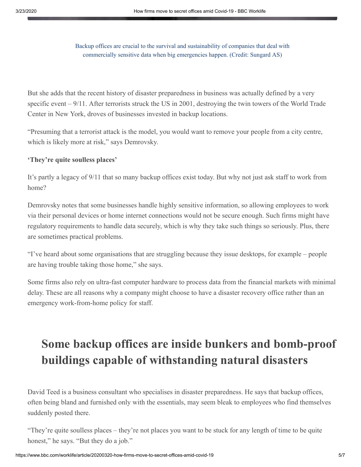Backup offices are crucial to the survival and sustainability of companies that deal with commercially sensitive data when big emergencies happen. (Credit: Sungard AS)

But she adds that the recent history of disaster preparedness in business was actually defined by a very specific event – 9/11. After terrorists struck the US in 2001, destroying the twin towers of the World Trade Center in New York, droves of businesses invested in backup locations.

"Presuming that a terrorist attack is the model, you would want to remove your people from a city centre, which is likely more at risk," says Demrovsky.

#### **'They're quite soulless places'**

It's partly a legacy of 9/11 that so many backup offices exist today. But why not just ask staff to work from home?

Demrovsky notes that some businesses handle highly sensitive information, so allowing employees to work via their personal devices or home internet connections would not be secure enough. Such firms might have regulatory requirements to handle data securely, which is why they take such things so seriously. Plus, there are sometimes practical problems.

"I've heard about some organisations that are struggling because they issue desktops, for example – people are having trouble taking those home," she says.

Some firms also rely on ultra-fast computer hardware to process data from the financial markets with minimal delay. These are all reasons why a company might choose to have a disaster recovery office rather than an emergency work-from-home policy for staff.

## **Some backup offices are inside bunkers and bomb-proof buildings capable of withstanding natural disasters**

David Teed is a business consultant who specialises in disaster preparedness. He says that backup offices, often being bland and furnished only with the essentials, may seem bleak to employees who find themselves suddenly posted there.

"They're quite soulless places – they're not places you want to be stuck for any length of time to be quite honest," he says. "But they do a job."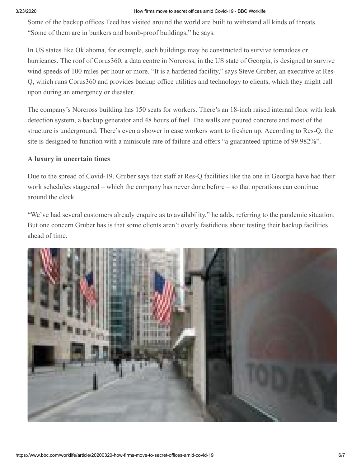#### 3/23/2020 How firms move to secret offices amid Covid-19 - BBC Worklife

Some of the backup offices Teed has visited around the world are built to withstand all kinds of threats. "Some of them are in bunkers and bomb-proof buildings," he says.

In US states like Oklahoma, for example, such buildings may be constructed to survive tornadoes or hurricanes. The roof of Corus360, a data centre in Norcross, in the US state of Georgia, is designed to survive wind speeds of 100 miles per hour or more. "It is a hardened facility," says Steve Gruber, an executive at Res-Q, which runs Corus360 and provides backup office utilities and technology to clients, which they might call upon during an emergency or disaster.

The company's Norcross building has 150 seats for workers. There's an 18-inch raised internal floor with leak detection system, a backup generator and 48 hours of fuel. The walls are poured concrete and most of the structure is underground. There's even a shower in case workers want to freshen up. According to Res-Q, the site is designed to function with a miniscule rate of failure and offers "a guaranteed uptime of 99.982%".

### **A luxury in uncertain times**

Due to the spread of Covid-19, Gruber says that staff at Res-Q facilities like the one in Georgia have had their work schedules staggered – which the company has never done before – so that operations can continue around the clock.

"We've had several customers already enquire as to availability," he adds, referring to the pandemic situation. But one concern Gruber has is that some clients aren't overly fastidious about testing their backup facilities ahead of time.